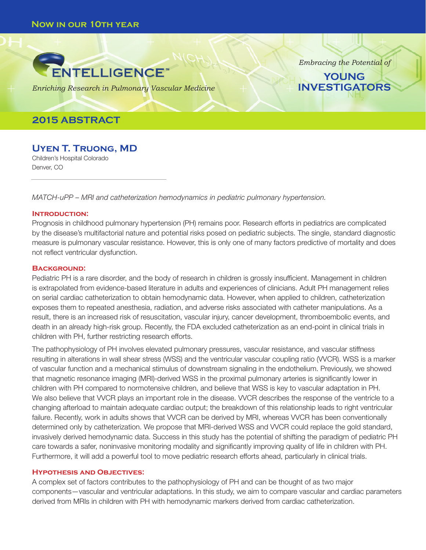

*Enriching Research in Pulmonary Vascular Medicine*

# **2015 ABSTRACT**

**Uyen T. Truong, MD**  Children's Hospital Colorado

Denver, CO

*MATCH-uPP – MRI and catheterization hemodynamics in pediatric pulmonary hypertension.*

### **Introduction:**

Prognosis in childhood pulmonary hypertension (PH) remains poor. Research efforts in pediatrics are complicated by the disease's multifactorial nature and potential risks posed on pediatric subjects. The single, standard diagnostic measure is pulmonary vascular resistance. However, this is only one of many factors predictive of mortality and does not reflect ventricular dysfunction.

*Embracing the Potential of*

**YOUNG INVESTIGATORS**

### **Background:**

Pediatric PH is a rare disorder, and the body of research in children is grossly insufficient. Management in children is extrapolated from evidence-based literature in adults and experiences of clinicians. Adult PH management relies on serial cardiac catheterization to obtain hemodynamic data. However, when applied to children, catheterization exposes them to repeated anesthesia, radiation, and adverse risks associated with catheter manipulations. As a result, there is an increased risk of resuscitation, vascular injury, cancer development, thromboembolic events, and death in an already high-risk group. Recently, the FDA excluded catheterization as an end-point in clinical trials in children with PH, further restricting research efforts.

The pathophysiology of PH involves elevated pulmonary pressures, vascular resistance, and vascular stiffness resulting in alterations in wall shear stress (WSS) and the ventricular vascular coupling ratio (VVCR). WSS is a marker of vascular function and a mechanical stimulus of downstream signaling in the endothelium. Previously, we showed that magnetic resonance imaging (MRI)-derived WSS in the proximal pulmonary arteries is significantly lower in children with PH compared to normotensive children, and believe that WSS is key to vascular adaptation in PH. We also believe that VVCR plays an important role in the disease. VVCR describes the response of the ventricle to a changing afterload to maintain adequate cardiac output; the breakdown of this relationship leads to right ventricular failure. Recently, work in adults shows that VVCR can be derived by MRI, whereas VVCR has been conventionally determined only by catheterization. We propose that MRI-derived WSS and VVCR could replace the gold standard, invasively derived hemodynamic data. Success in this study has the potential of shifting the paradigm of pediatric PH care towards a safer, noninvasive monitoring modality and significantly improving quality of life in children with PH. Furthermore, it will add a powerful tool to move pediatric research efforts ahead, particularly in clinical trials.

### **Hypothesis and Objectives:**

A complex set of factors contributes to the pathophysiology of PH and can be thought of as two major components—vascular and ventricular adaptations. In this study, we aim to compare vascular and cardiac parameters derived from MRIs in children with PH with hemodynamic markers derived from cardiac catheterization.